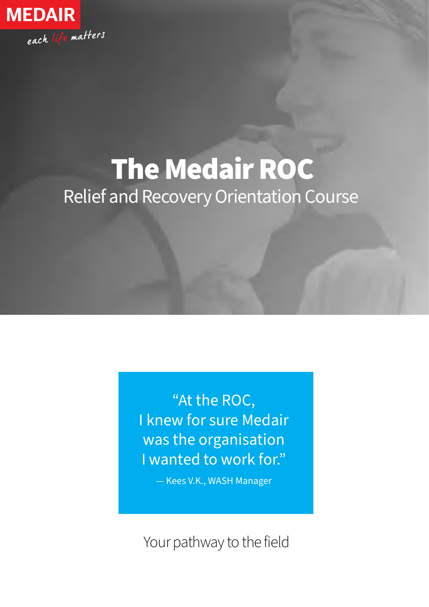

# Relief and Recovery Orientation Course The Medair ROC

"At the ROC, I knew for sure Medair was the organisation I wanted to work for."

— Kees V.K., WASH Manager

Your pathway to the field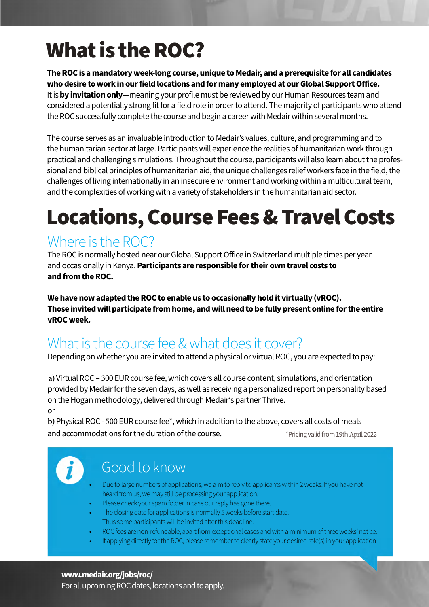# What is the ROC?

**The ROC is a mandatory week-long course, unique to Medair, and a prerequisite for all candidates who desire to work in our field locations and for many employed at our Global Support Office.**  It is **by invitation only**—meaning your profile must be reviewed by our Human Resources team and considered a potentially strong fit for a field role in order to attend. The majority of participants who attend the ROC successfully complete the course and begin a career with Medair within several months.

The course serves as an invaluable introduction to Medair's values, culture, and programming and to the humanitarian sector at large. Participants will experience the realities of humanitarian work through practical and challenging simulations. Throughout the course, participants will also learn about the professional and biblical principles of humanitarian aid, the unique challenges relief workers face in the field, the challenges of living internationally in an insecure environment and working within a multicultural team, and the complexities of working with a variety of stakeholders in the humanitarian aid sector.

# Locations, Course Fees & Travel Costs

### Where is the ROC?

The ROC is normally hosted near our Global Support Office in Switzerland multiple times per year and occasionally in Kenya. **Participants are responsible for their own travel costs to and from the ROC.**

**We have now adapted the ROC to enable us to occasionally hold it virtually (vROC). Those invited will participate from home, and will need to be fully present online for the entire vROC week.**

## What is the course fee & what does it cover?

Depending on whether you are invited to attend a physical or virtual ROC, you are expected to pay:

**a)**Virtual ROC – 300 EUR course fee, which covers all course content, simulations, and orientation provided by Medair for the seven days, as well as receiving a personalized report on personality based on the Hogan methodology, delivered through Medair's partner Thrive. or

**b)**Physical ROC - 500 EUR course fee\*, which in addition to the above, covers all costs of meals and accommodations for the duration of the course. \*Pricing validfrom19thApril 2022



## Good to know

- Due to large numbers of applications, we aim to reply to applicants within 2 weeks. If you have not heard from us, we may still be processing your application.
- Please check your spam folder in case our reply has gone there.
- The closing date for applications is normally 5 weeks before start date. Thus some participants will be invited after this deadline.
- ROC fees are non-refundable, apart from exceptional cases and with a minimum of three weeks' notice.
- If applying directly for the ROC, please remember to clearly state your desired role(s) in your application

#### **www.medair.org/jobs/roc/**

For all upcoming ROC dates, locations and to apply.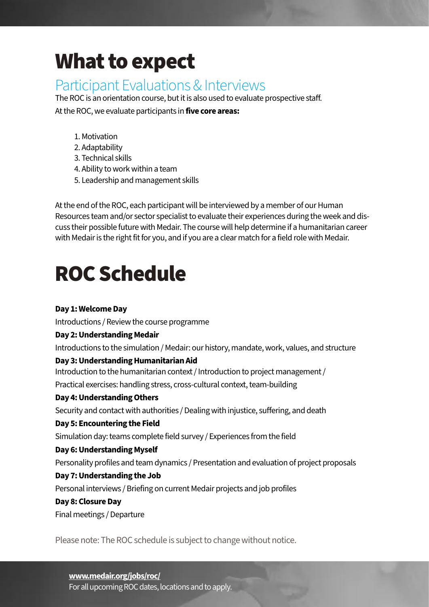# What to expect

### Participant Evaluations & Interviews

The ROC is an orientation course, but it is also used to evaluate prospective staff.

At the ROC, we evaluate participants in **five core areas:**

- 1. Motivation
- 2. Adaptability
- 3. Technical skills
- 4. Ability to work within a team
- 5. Leadership and management skills

At the end of the ROC, each participant will be interviewed by a member of our Human Resources team and/or sector specialist to evaluate their experiences during the week and discuss their possible future with Medair. The course will help determine if a humanitarian career with Medair is the right fit for you, and if you are a clear match for a field role with Medair.

## ROC Schedule

#### **Day 1: Welcome Day**

Introductions / Review the course programme

#### **Day 2: Understanding Medair**

Introductions to the simulation / Medair: our history, mandate, work, values, and structure

#### **Day 3: Understanding Humanitarian Aid**

Introduction to the humanitarian context / Introduction to project management /

Practical exercises: handling stress, cross-cultural context, team-building

#### **Day 4: Understanding Others**

Security and contact with authorities / Dealing with injustice, suffering, and death

#### **Day 5: Encountering the Field**

Simulation day: teams complete field survey / Experiences from the field

#### **Day 6: Understanding Myself**

Personality profiles and team dynamics / Presentation and evaluation of project proposals

#### **Day 7: Understanding the Job**

Personal interviews / Briefing on current Medair projects and job profiles

#### **Day 8: Closure Day**

Final meetings / Departure

Please note: The ROC schedule is subject to change without notice.